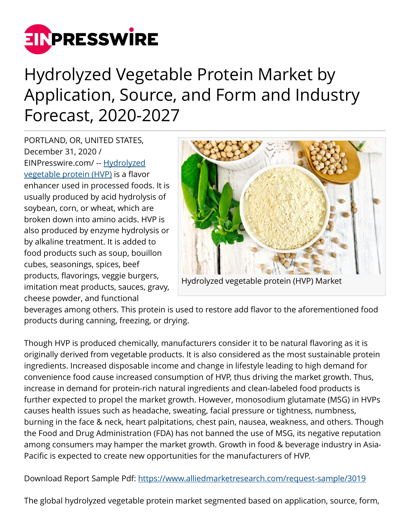

## Hydrolyzed Vegetable Protein Market by Application, Source, and Form and Industry Forecast, 2020-2027

PORTLAND, OR, UNITED STATES, December 31, 2020 / [EINPresswire.com](http://www.einpresswire.com)/ -- [Hydrolyzed](https://www.alliedmarketresearch.com/hydrolyzed-vegetable-protein-market) [vegetable protein \(HVP\)](https://www.alliedmarketresearch.com/hydrolyzed-vegetable-protein-market) is a flavor enhancer used in processed foods. It is usually produced by acid hydrolysis of soybean, corn, or wheat, which are broken down into amino acids. HVP is also produced by enzyme hydrolysis or by alkaline treatment. It is added to food products such as soup, bouillon cubes, seasonings, spices, beef products, flavorings, veggie burgers, imitation meat products, sauces, gravy, cheese powder, and functional



Hydrolyzed vegetable protein (HVP) Market

beverages among others. This protein is used to restore add flavor to the aforementioned food products during canning, freezing, or drying.

Though HVP is produced chemically, manufacturers consider it to be natural flavoring as it is originally derived from vegetable products. It is also considered as the most sustainable protein ingredients. Increased disposable income and change in lifestyle leading to high demand for convenience food cause increased consumption of HVP, thus driving the market growth. Thus, increase in demand for protein-rich natural ingredients and clean-labeled food products is further expected to propel the market growth. However, monosodium glutamate (MSG) in HVPs causes health issues such as headache, sweating, facial pressure or tightness, numbness, burning in the face & neck, heart palpitations, chest pain, nausea, weakness, and others. Though the Food and Drug Administration (FDA) has not banned the use of MSG, its negative reputation among consumers may hamper the market growth. Growth in food & beverage industry in Asia-Pacific is expected to create new opportunities for the manufacturers of HVP.

Download Report Sample Pdf:<https://www.alliedmarketresearch.com/request-sample/3019>

The global hydrolyzed vegetable protein market segmented based on application, source, form,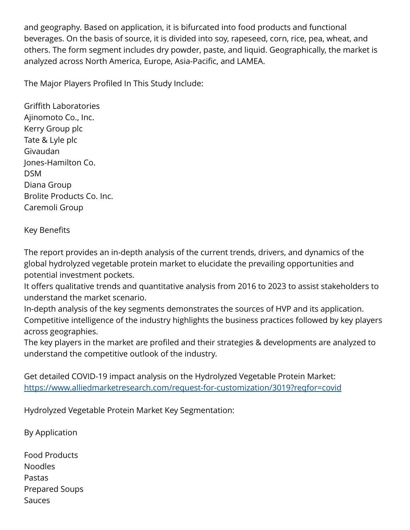and geography. Based on application, it is bifurcated into food products and functional beverages. On the basis of source, it is divided into soy, rapeseed, corn, rice, pea, wheat, and others. The form segment includes dry powder, paste, and liquid. Geographically, the market is analyzed across North America, Europe, Asia-Pacific, and LAMEA.

The Major Players Profiled In This Study Include:

Griffith Laboratories Ajinomoto Co., Inc. Kerry Group plc Tate & Lyle plc Givaudan Jones-Hamilton Co. DSM Diana Group Brolite Products Co. Inc. Caremoli Group

## Key Benefits

The report provides an in-depth analysis of the current trends, drivers, and dynamics of the global hydrolyzed vegetable protein market to elucidate the prevailing opportunities and potential investment pockets.

It offers qualitative trends and quantitative analysis from 2016 to 2023 to assist stakeholders to understand the market scenario.

In-depth analysis of the key segments demonstrates the sources of HVP and its application. Competitive intelligence of the industry highlights the business practices followed by key players across geographies.

The key players in the market are profiled and their strategies & developments are analyzed to understand the competitive outlook of the industry.

Get detailed COVID-19 impact analysis on the Hydrolyzed Vegetable Protein Market: <https://www.alliedmarketresearch.com/request-for-customization/3019?reqfor=covid>

Hydrolyzed Vegetable Protein Market Key Segmentation:

By Application

Food Products Noodles Pastas Prepared Soups Sauces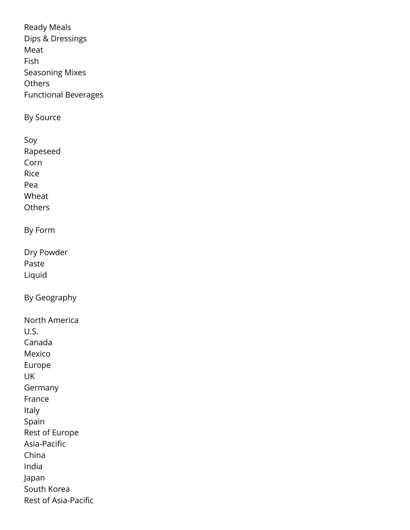Ready Meals Dips & Dressings Meat Fish Seasoning Mixes **Others** Functional Beverages By Source Soy Rapeseed Corn Rice Pea Wheat **Others** By Form Dry Powder Paste Liquid By Geography North America U.S. Canada Mexico Europe UK Germany France Italy Spain Rest of Europe Asia-Pacific China India Japan South Korea Rest of Asia-Pacific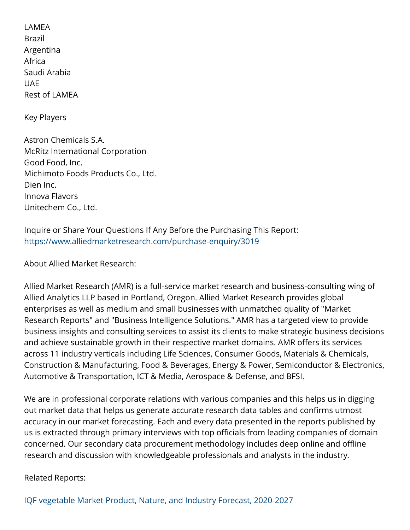LAMEA Brazil Argentina Africa Saudi Arabia **I**IAF Rest of LAMEA

Key Players

Astron Chemicals S.A. McRitz International Corporation Good Food, Inc. Michimoto Foods Products Co., Ltd. Dien Inc. Innova Flavors Unitechem Co., Ltd.

Inquire or Share Your Questions If Any Before the Purchasing This Report: <https://www.alliedmarketresearch.com/purchase-enquiry/3019>

About Allied Market Research:

Allied Market Research (AMR) is a full-service market research and business-consulting wing of Allied Analytics LLP based in Portland, Oregon. Allied Market Research provides global enterprises as well as medium and small businesses with unmatched quality of "Market Research Reports" and "Business Intelligence Solutions." AMR has a targeted view to provide business insights and consulting services to assist its clients to make strategic business decisions and achieve sustainable growth in their respective market domains. AMR offers its services across 11 industry verticals including Life Sciences, Consumer Goods, Materials & Chemicals, Construction & Manufacturing, Food & Beverages, Energy & Power, Semiconductor & Electronics, Automotive & Transportation, ICT & Media, Aerospace & Defense, and BFSI.

We are in professional corporate relations with various companies and this helps us in digging out market data that helps us generate accurate research data tables and confirms utmost accuracy in our market forecasting. Each and every data presented in the reports published by us is extracted through primary interviews with top officials from leading companies of domain concerned. Our secondary data procurement methodology includes deep online and offline research and discussion with knowledgeable professionals and analysts in the industry.

Related Reports: